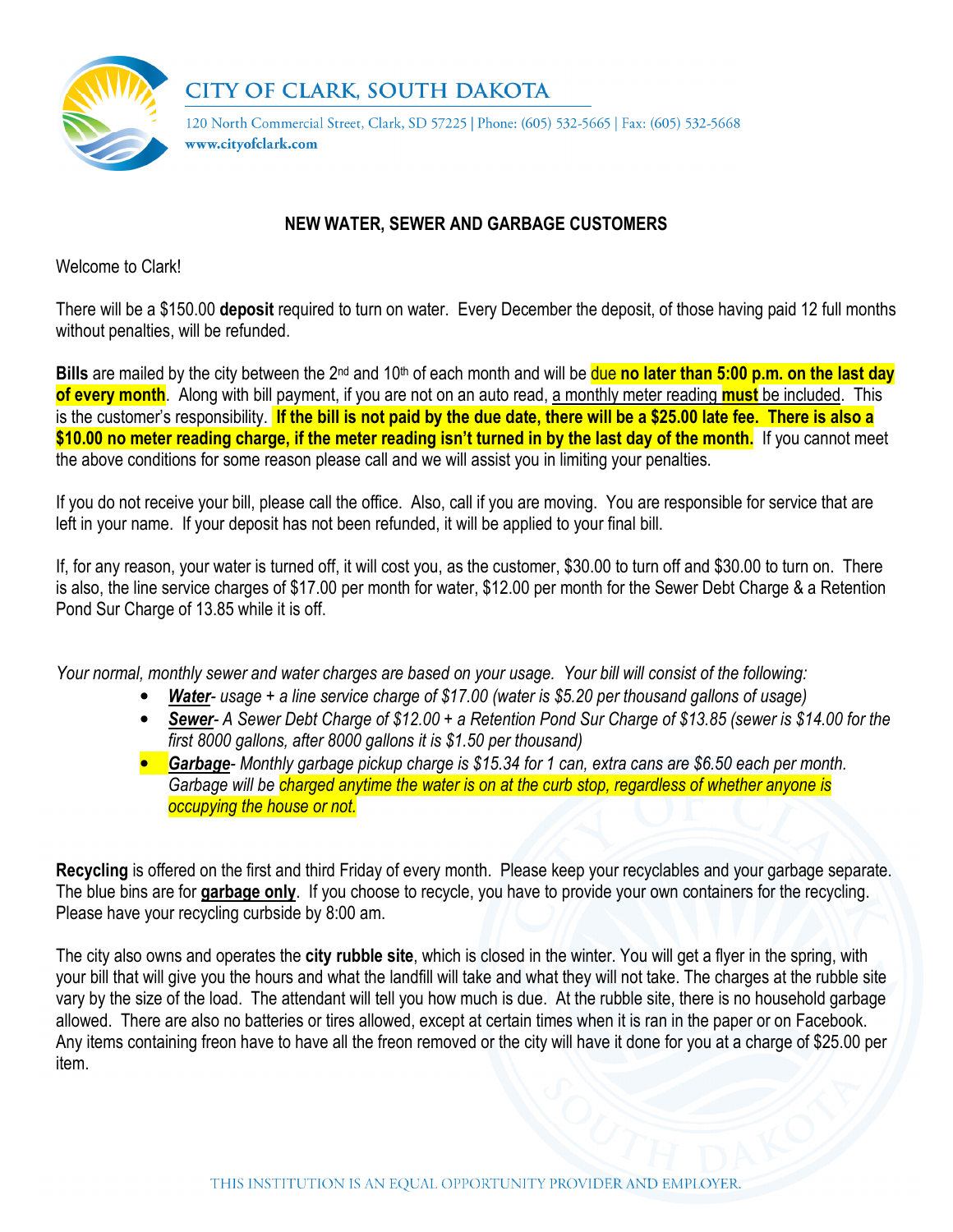

## **CITY OF CLARK, SOUTH DAKOTA**

120 North Commercial Street, Clark, SD 57225 | Phone: (605) 532-5665 | Fax: (605) 532-5668 www.cityofclark.com

## NEW WATER, SEWER AND GARBAGE CUSTOMERS

Welcome to Clark!

There will be a \$150.00 deposit required to turn on water. Every December the deposit, of those having paid 12 full months without penalties, will be refunded.

Bills are mailed by the city between the 2<sup>nd</sup> and 10<sup>th</sup> of each month and will be due no later than 5:00 p.m. on the last day of every month. Along with bill payment, if you are not on an auto read, a monthly meter reading must be included. This is the customer's responsibility. If the bill is not paid by the due date, there will be a \$25.00 late fee. There is also a \$10.00 no meter reading charge, if the meter reading isn't turned in by the last day of the month. If you cannot meet the above conditions for some reason please call and we will assist you in limiting your penalties.

If you do not receive your bill, please call the office. Also, call if you are moving. You are responsible for service that are left in your name. If your deposit has not been refunded, it will be applied to your final bill.

If, for any reason, your water is turned off, it will cost you, as the customer, \$30.00 to turn off and \$30.00 to turn on. There is also, the line service charges of \$17.00 per month for water, \$12.00 per month for the Sewer Debt Charge & a Retention Pond Sur Charge of 13.85 while it is off.

Your normal, monthly sewer and water charges are based on your usage. Your bill will consist of the following:

- **Water-** usage + a line service charge of \$17.00 (water is \$5.20 per thousand gallons of usage)
- Sewer- A Sewer Debt Charge of \$12.00 + a Retention Pond Sur Charge of \$13.85 (sewer is \$14.00 for the  $\overline{first\ 80}$ 00 gallons, after 8000 gallons it is \$1.50 per thousand)
- **Garbage** Monthly garbage pickup charge is \$15.34 for 1 can, extra cans are \$6.50 each per month. Garbage will be charged anytime the water is on at the curb stop, regardless of whether anyone is occupying the house or not.

Recycling is offered on the first and third Friday of every month. Please keep your recyclables and your garbage separate. The blue bins are for garbage only. If you choose to recycle, you have to provide your own containers for the recycling. Please have your recycling curbside by 8:00 am.

The city also owns and operates the **city rubble site**, which is closed in the winter. You will get a flyer in the spring, with your bill that will give you the hours and what the landfill will take and what they will not take. The charges at the rubble site vary by the size of the load. The attendant will tell you how much is due. At the rubble site, there is no household garbage allowed. There are also no batteries or tires allowed, except at certain times when it is ran in the paper or on Facebook. Any items containing freon have to have all the freon removed or the city will have it done for you at a charge of \$25.00 per item.